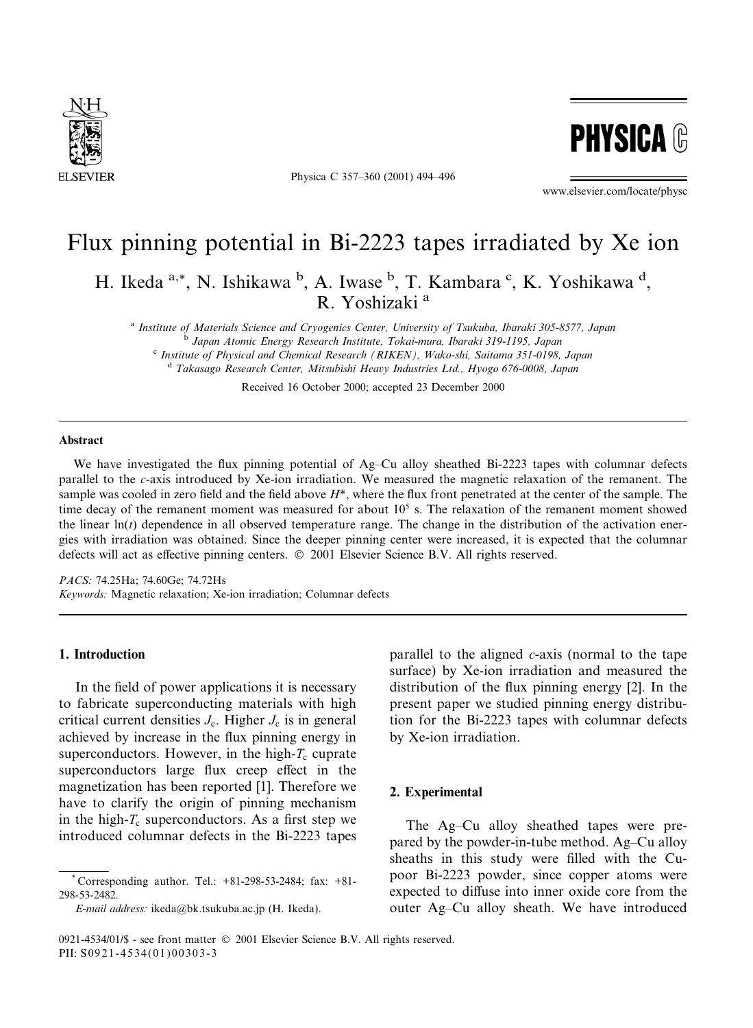

Physica C 357-360 (2001) 494-496



www.elsevier.com/locate/physc

# Flux pinning potential in Bi-2223 tapes irradiated by Xe ion

H. Ikeda a,\*, N. Ishikawa b, A. Iwase b, T. Kambara c, K. Yoshikawa d, R. Yoshizaki<sup>a</sup>

<sup>a</sup> Institute of Materials Science and Cryogenics Center, University of Tsukuba, Ibaraki 305-8577, Japan <sup>b</sup> Japan Atomic Energy Research Institute, Tokai-mura, Ibaraki 319-1195, Japan <sup>c</sup> Institute of Physical and Chemical Research (RIKEN), Wako-shi, Saitama 351-0198, Japan <sup>d</sup> Takasago Research Center, Mitsubishi Heavy Industries Ltd., Hyogo 676-0008, Japan

Received 16 October 2000; accepted 23 December 2000

#### **Abstract**

We have investigated the flux pinning potential of Ag–Cu alloy sheathed Bi-2223 tapes with columnar defects parallel to the c-axis introduced by Xe-ion irradiation. We measured the magnetic relaxation of the remanent. The sample was cooled in zero field and the field above  $H^*$ , where the flux front penetrated at the center of the sample. The time decay of the remanent moment was measured for about  $10<sup>5</sup>$  s. The relaxation of the remanent moment showed the linear  $\ln(t)$  dependence in all observed temperature range. The change in the distribution of the activation energies with irradiation was obtained. Since the deeper pinning center were increased, it is expected that the columnar defects will act as effective pinning centers. © 2001 Elsevier Science B.V. All rights reserved.

PACS: 74.25Ha; 74.60Ge; 74.72Hs Keywords: Magnetic relaxation; Xe-ion irradiation; Columnar defects

## 1. Introduction

In the field of power applications it is necessary to fabricate superconducting materials with high critical current densities  $J_c$ . Higher  $J_c$  is in general achieved by increase in the flux pinning energy in superconductors. However, in the high- $T_c$  cuprate superconductors large flux creep effect in the magnetization has been reported [1]. Therefore we have to clarify the origin of pinning mechanism in the high- $T_c$  superconductors. As a first step we introduced columnar defects in the Bi-2223 tapes

E-mail address: ikeda@bk.tsukuba.ac.jp (H. Ikeda).

parallel to the aligned  $c$ -axis (normal to the tape surface) by Xe-ion irradiation and measured the distribution of the flux pinning energy [2]. In the present paper we studied pinning energy distribution for the Bi-2223 tapes with columnar defects by Xe-ion irradiation.

#### 2. Experimental

The Ag–Cu alloy sheathed tapes were prepared by the powder-in-tube method. Ag–Cu alloy sheaths in this study were filled with the Cupoor Bi-2223 powder, since copper atoms were expected to diffuse into inner oxide core from the outer Ag–Cu alloy sheath. We have introduced

Corresponding author. Tel.: +81-298-53-2484; fax: +81-298-53-2482

<sup>0921-4534/01/\$ -</sup> see front matter © 2001 Elsevier Science B.V. All rights reserved. PII: S0921-4534(01)00303-3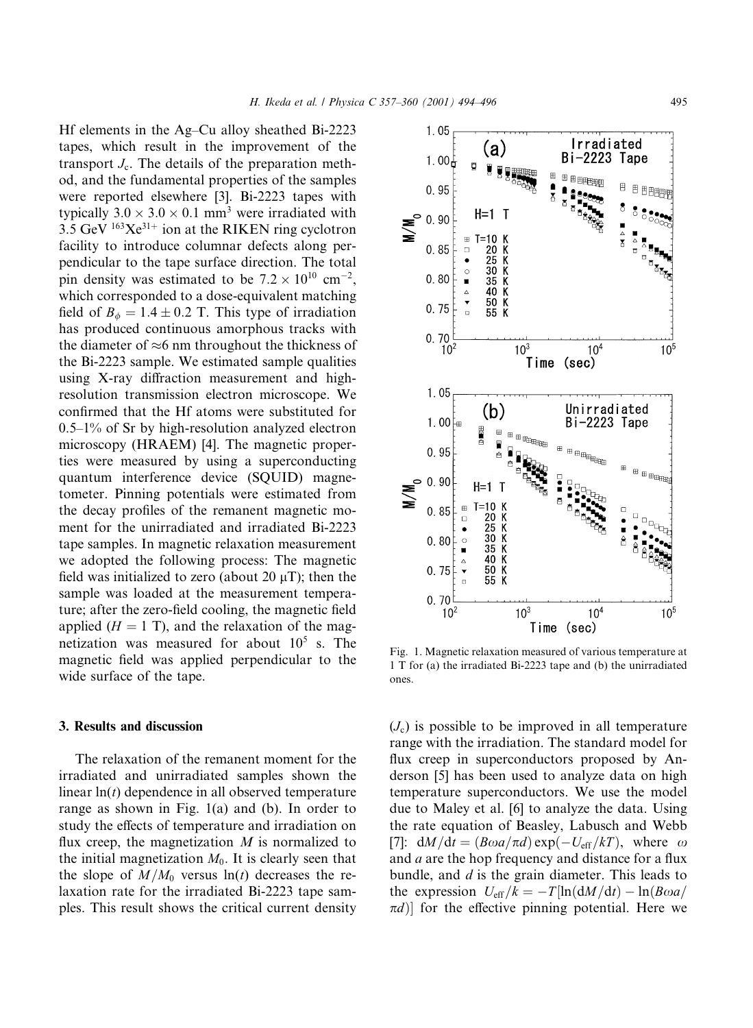Hf elements in the Ag–Cu alloy sheathed Bi-2223 tapes, which result in the improvement of the transport  $J_c$ . The details of the preparation method, and the fundamental properties of the samples were reported elsewhere [3]. Bi-2223 tapes with typically  $3.0 \times 3.0 \times 0.1$  mm<sup>3</sup> were irradiated with  $3.5$  GeV  $^{163}Xe^{31+}$  ion at the RIKEN ring cyclotron facility to introduce columnar defects along perpendicular to the tape surface direction. The total pin density was estimated to be  $7.2 \times 10^{10}$  cm<sup>-2</sup>, which corresponded to a dose-equivalent matching field of  $B_{\phi} = 1.4 \pm 0.2$  T. This type of irradiation has produced continuous amorphous tracks with the diameter of  $\approx$ 6 nm throughout the thickness of the Bi-2223 sample. We estimated sample qualities using X-ray diffraction measurement and highresolution transmission electron microscope. We confirmed that the Hf atoms were substituted for  $0.5-1\%$  of Sr by high-resolution analyzed electron microscopy (HRAEM) [4]. The magnetic properties were measured by using a superconducting quantum interference device (SQUID) magnetometer. Pinning potentials were estimated from the decay profiles of the remanent magnetic moment for the unirradiated and irradiated Bi-2223 tape samples. In magnetic relaxation measurement we adopted the following process: The magnetic field was initialized to zero (about 20  $\mu$ T); then the sample was loaded at the measurement temperature; after the zero-field cooling, the magnetic field applied  $(H = 1 T)$ , and the relaxation of the magnetization was measured for about  $10^5$  s. The magnetic field was applied perpendicular to the wide surface of the tape.

# 3. Results and discussion

The relaxation of the remanent moment for the irradiated and unirradiated samples shown the linear  $\ln(t)$  dependence in all observed temperature range as shown in Fig.  $1(a)$  and (b). In order to study the effects of temperature and irradiation on flux creep, the magnetization  $M$  is normalized to the initial magnetization  $M_0$ . It is clearly seen that the slope of  $M/M_0$  versus  $\ln(t)$  decreases the relaxation rate for the irradiated Bi-2223 tape samples. This result shows the critical current density

 $\frac{70}{50}$  $0.75$  $0.70$  $10<sup>2</sup>$  $10<sup>3</sup>$  $10<sup>4</sup>$  $10<sup>5</sup>$ Time (sec) Fig. 1. Magnetic relaxation measured of various temperature at 1 T for (a) the irradiated Bi-2223 tape and (b) the unirradiated ones.

 $(J_c)$  is possible to be improved in all temperature range with the irradiation. The standard model for flux creep in superconductors proposed by Anderson [5] has been used to analyze data on high temperature superconductors. We use the model due to Maley et al. [6] to analyze the data. Using the rate equation of Beasley, Labusch and Webb [7]:  $dM/dt = (B\omega a/\pi d) \exp(-U_{eff}/kT)$ , where  $\omega$ and  $a$  are the hop frequency and distance for a flux bundle, and  $d$  is the grain diameter. This leads to the expression  $U_{\text{eff}}/k = -T[\ln(\mathrm{d}M/\mathrm{d}t) - \ln(B\omega a/$  $\pi d$ ] for the effective pinning potential. Here we



 $1.05$